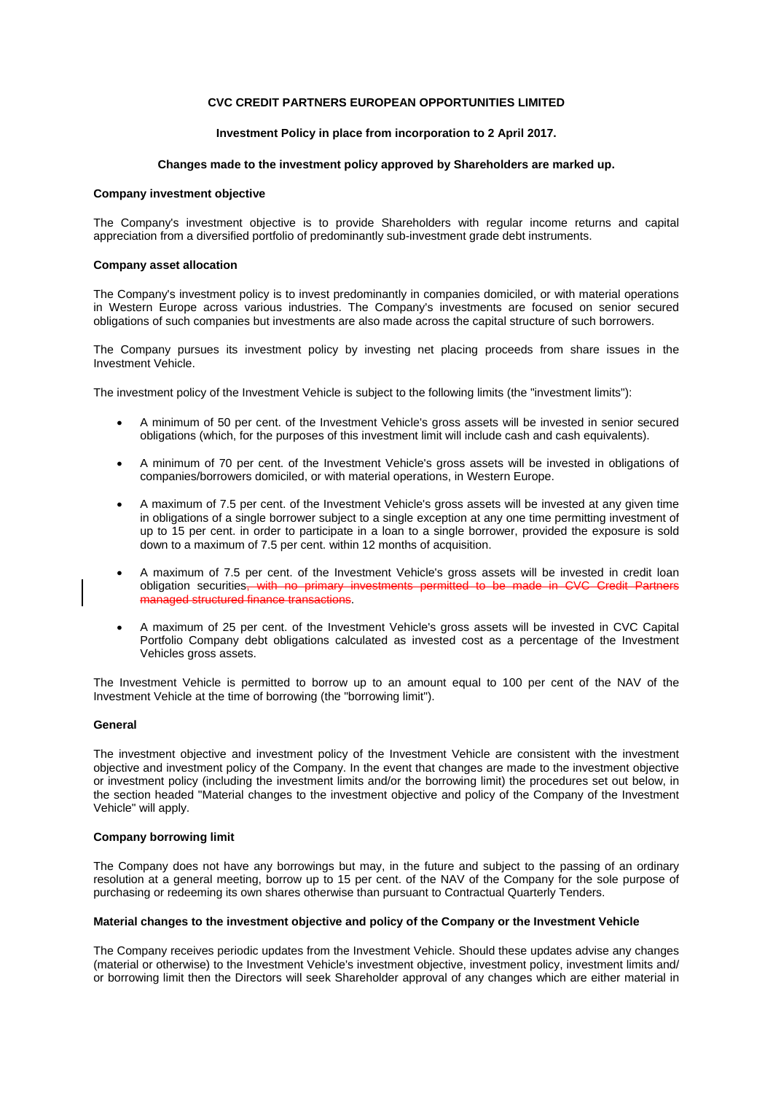# **CVC CREDIT PARTNERS EUROPEAN OPPORTUNITIES LIMITED**

# **Investment Policy in place from incorporation to 2 April 2017.**

# **Changes made to the investment policy approved by Shareholders are marked up.**

# **Company investment objective**

The Company's investment objective is to provide Shareholders with regular income returns and capital appreciation from a diversified portfolio of predominantly sub-investment grade debt instruments.

## **Company asset allocation**

The Company's investment policy is to invest predominantly in companies domiciled, or with material operations in Western Europe across various industries. The Company's investments are focused on senior secured obligations of such companies but investments are also made across the capital structure of such borrowers.

The Company pursues its investment policy by investing net placing proceeds from share issues in the Investment Vehicle.

The investment policy of the Investment Vehicle is subject to the following limits (the "investment limits"):

- A minimum of 50 per cent. of the Investment Vehicle's gross assets will be invested in senior secured obligations (which, for the purposes of this investment limit will include cash and cash equivalents).
- A minimum of 70 per cent. of the Investment Vehicle's gross assets will be invested in obligations of companies/borrowers domiciled, or with material operations, in Western Europe.
- A maximum of 7.5 per cent. of the Investment Vehicle's gross assets will be invested at any given time in obligations of a single borrower subject to a single exception at any one time permitting investment of up to 15 per cent. in order to participate in a loan to a single borrower, provided the exposure is sold down to a maximum of 7.5 per cent. within 12 months of acquisition.
- A maximum of 7.5 per cent. of the Investment Vehicle's gross assets will be invested in credit loan obligation securities, with no primary investments permitted to be made in CVC Credit Partners managed structured finance transactions.
- A maximum of 25 per cent. of the Investment Vehicle's gross assets will be invested in CVC Capital Portfolio Company debt obligations calculated as invested cost as a percentage of the Investment Vehicles gross assets.

The Investment Vehicle is permitted to borrow up to an amount equal to 100 per cent of the NAV of the Investment Vehicle at the time of borrowing (the "borrowing limit").

# **General**

The investment objective and investment policy of the Investment Vehicle are consistent with the investment objective and investment policy of the Company. In the event that changes are made to the investment objective or investment policy (including the investment limits and/or the borrowing limit) the procedures set out below, in the section headed "Material changes to the investment objective and policy of the Company of the Investment Vehicle" will apply.

#### **Company borrowing limit**

The Company does not have any borrowings but may, in the future and subject to the passing of an ordinary resolution at a general meeting, borrow up to 15 per cent. of the NAV of the Company for the sole purpose of purchasing or redeeming its own shares otherwise than pursuant to Contractual Quarterly Tenders.

# **Material changes to the investment objective and policy of the Company or the Investment Vehicle**

The Company receives periodic updates from the Investment Vehicle. Should these updates advise any changes (material or otherwise) to the Investment Vehicle's investment objective, investment policy, investment limits and/ or borrowing limit then the Directors will seek Shareholder approval of any changes which are either material in